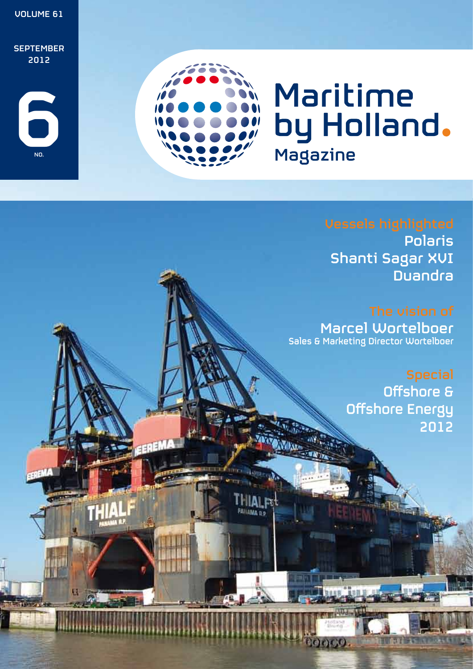

**FAILAMA D.P.** 

ननः।

Polaris Shanti Sagar XVI Duandra

Marcel Wortelboer Sales & Marketing Director Wortelboer

> Offshore & Offshore Energy 2012

> > **Traile**

 $\partial(\partial f)\partial f(\partial)$ .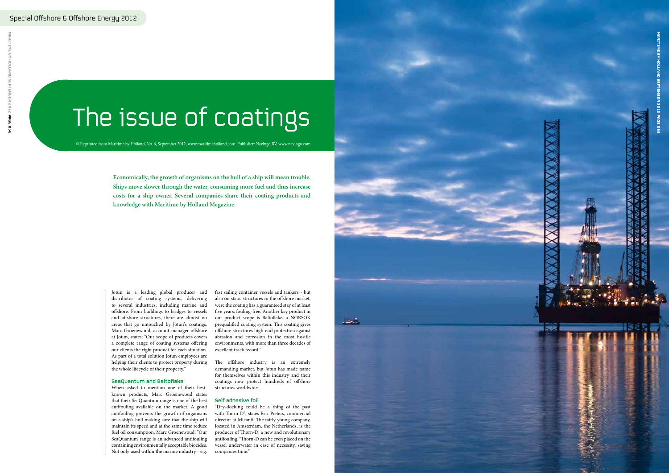Jotun is a leading global producer and distributor of coating systems, delivering to several industries, including marine and offshore. From buildings to bridges to vessels and offshore structures, there are almost no areas that go untouched by Jotun's coatings. Marc Groenewoud, account manager offshore at Jotun, states: "Our scope of products covers a complete range of coating systems offering our clients the right product for each situation. As part of a total solution Jotun employees are helping their clients to protect property during the whole lifecycle of their property.''

## SeaQuantum and Baltoflake

When asked to mention one of their bestknown products, Marc Groenewoud states that their SeaQuantum range is one of the best antifouling available on the market. A good antifouling prevents the growth of organisms on a ship's hull making sure that the ship will maintain its speed and at the same time reduce fuel oil consumption. Marc Groenewoud: "Our SeaQuantum range is an advanced antifouling containing environmentally acceptable biocides. Not only used within the marine industry - e.g.

fast sailing container vessels and tankers - but also on static structures in the offshore market, were the coating has a guaranteed stay of at least five years, fouling-free. Another key product in our product scope is Baltoflake, a NORSOK prequalified coating system. This coating gives offshore structures high-end protection against abrasion and corrosion in the most hostile environments, with more than three decades of excellent track record."

The offshore industry is an extremely demanding market, but Jotun has made name for themselves within this industry and their coatings now protect hundreds of offshore structures worldwide.

### Self adhesive foil

"Dry-docking could be a thing of the past with Thorn-D", states Eric Pieters, commercial director at Micanti. The fairly young company, located in Amsterdam, the Netherlands, is the producer of Thorn-D, a new and revolutionary antifouling. "Thorn-D can be even placed on the vessel underwater in case of necessity, saving companies time."

# The issue of coatings

**Economically, the growth of organisms on the hull of a ship will mean trouble. Ships move slower through the water, consuming more fuel and thus increase costs for a ship owner. Several companies share their coating products and knowledge with Maritime by Holland Magazine.**



© Reprinted from Maritime by Holland, No. 6, September 2012, www.maritimeholland.com. Publisher: Navingo BV, www.navingo.com